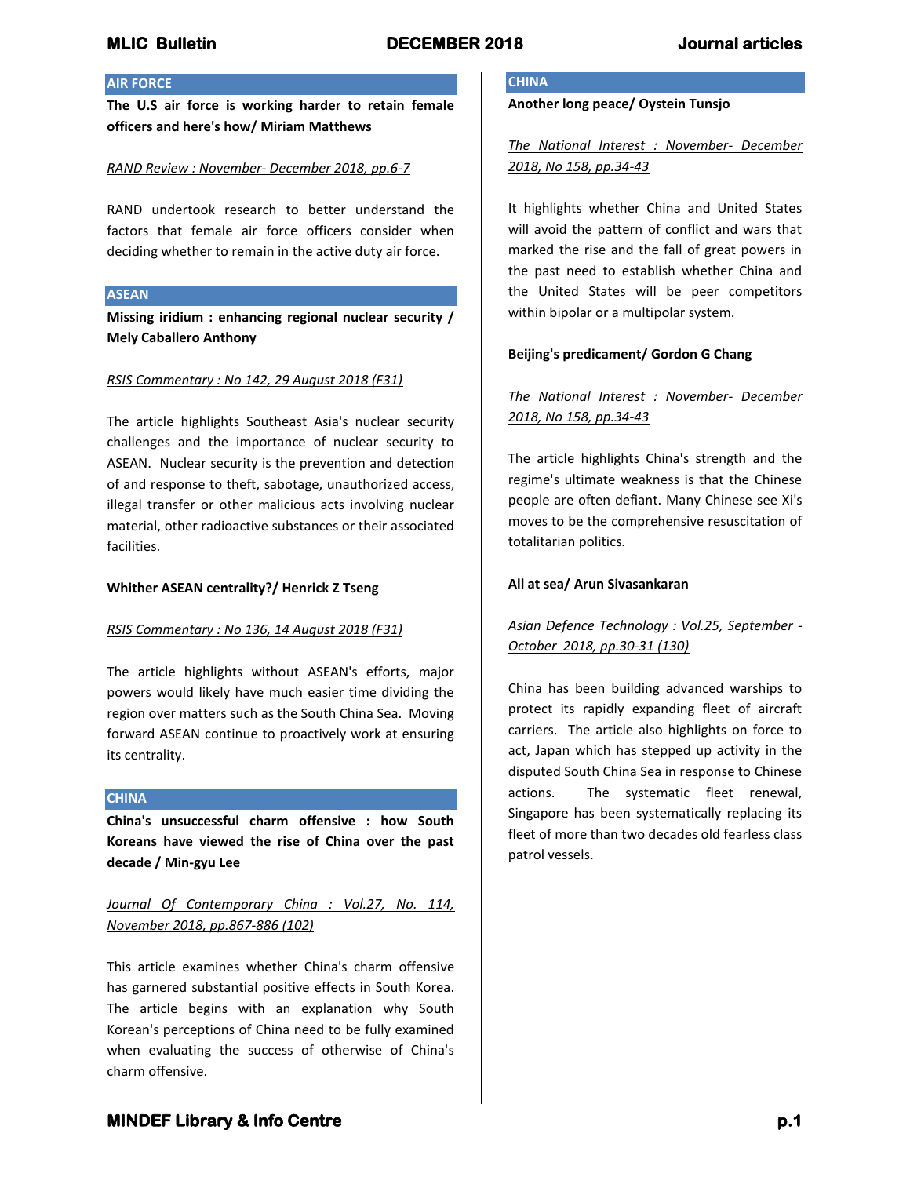## **AIR FORCE**

**The U.S air force is working harder to retain female officers and here's how/ Miriam Matthews**

#### *RAND Review : November- December 2018, pp.6-7*

RAND undertook research to better understand the factors that female air force officers consider when deciding whether to remain in the active duty air force.

#### **ASEAN**

**Missing iridium : enhancing regional nuclear security / Mely Caballero Anthony**

#### *RSIS Commentary : No 142, 29 August 2018 (F31)*

The article highlights Southeast Asia's nuclear security challenges and the importance of nuclear security to ASEAN. Nuclear security is the prevention and detection of and response to theft, sabotage, unauthorized access, illegal transfer or other malicious acts involving nuclear material, other radioactive substances or their associated facilities.

#### **Whither ASEAN centrality?/ Henrick Z Tseng**

#### *RSIS Commentary : No 136, 14 August 2018 (F31)*

The article highlights without ASEAN's efforts, major powers would likely have much easier time dividing the region over matters such as the South China Sea. Moving forward ASEAN continue to proactively work at ensuring its centrality.

#### **CHINA**

**China's unsuccessful charm offensive : how South Koreans have viewed the rise of China over the past decade / Min-gyu Lee**

*Journal Of Contemporary China : Vol.27, No. 114, November 2018, pp.867-886 (102)*

This article examines whether China's charm offensive has garnered substantial positive effects in South Korea. The article begins with an explanation why South Korean's perceptions of China need to be fully examined when evaluating the success of otherwise of China's charm offensive.

## **CHINA**

**Another long peace/ Oystein Tunsjo**

*The National Interest : November- December 2018, No 158, pp.34-43*

It highlights whether China and United States will avoid the pattern of conflict and wars that marked the rise and the fall of great powers in the past need to establish whether China and the United States will be peer competitors within bipolar or a multipolar system.

#### **Beijing's predicament/ Gordon G Chang**

## *The National Interest : November- December 2018, No 158, pp.34-43*

The article highlights China's strength and the regime's ultimate weakness is that the Chinese people are often defiant. Many Chinese see Xi's moves to be the comprehensive resuscitation of totalitarian politics.

#### **All at sea/ Arun Sivasankaran**

# *Asian Defence Technology : Vol.25, September - October 2018, pp.30-31 (130)*

China has been building advanced warships to protect its rapidly expanding fleet of aircraft carriers. The article also highlights on force to act, Japan which has stepped up activity in the disputed South China Sea in response to Chinese actions. The systematic fleet renewal, Singapore has been systematically replacing its fleet of more than two decades old fearless class patrol vessels.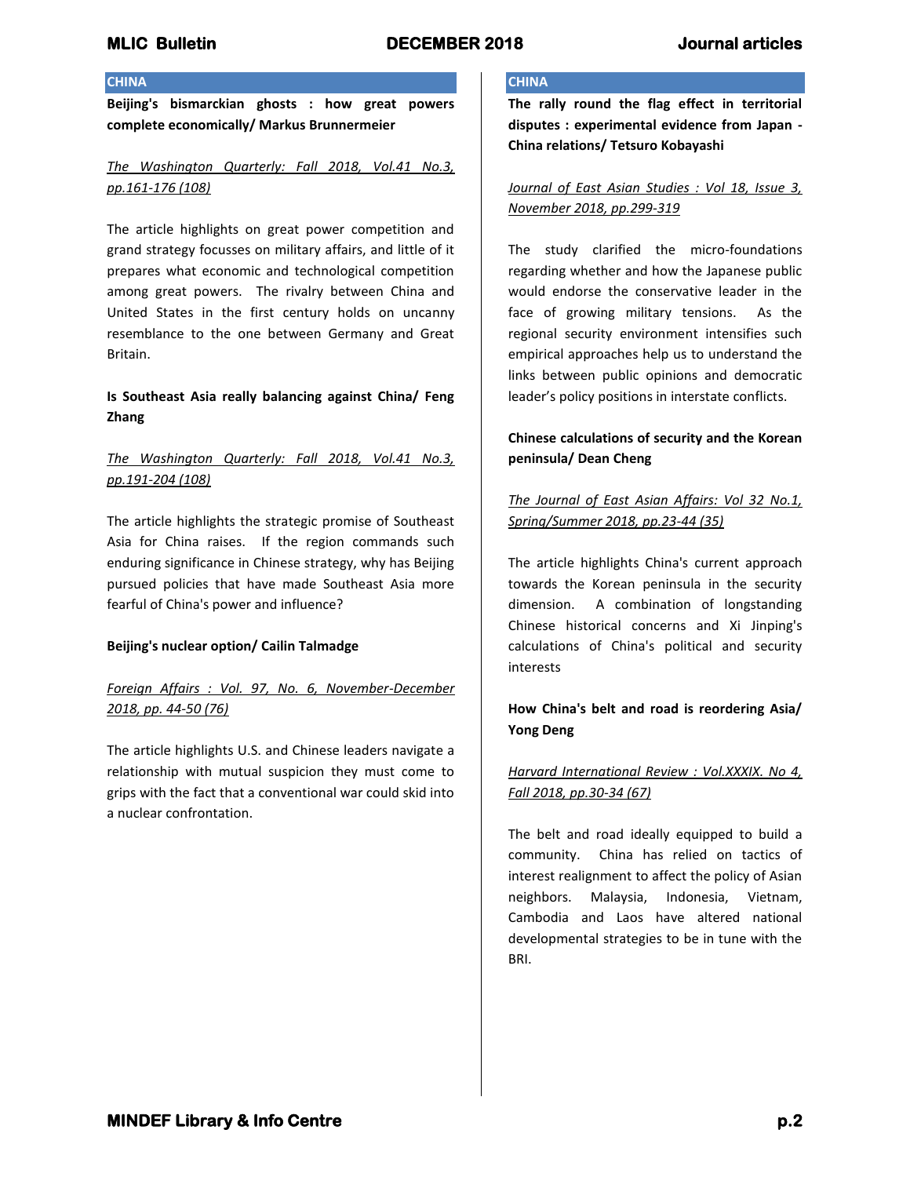## **CHINA**

**Beijing's bismarckian ghosts : how great powers complete economically/ Markus Brunnermeier**

# *The Washington Quarterly: Fall 2018, Vol.41 No.3, pp.161-176 (108)*

The article highlights on great power competition and grand strategy focusses on military affairs, and little of it prepares what economic and technological competition among great powers. The rivalry between China and United States in the first century holds on uncanny resemblance to the one between Germany and Great Britain.

# **Is Southeast Asia really balancing against China/ Feng Zhang**

# *The Washington Quarterly: Fall 2018, Vol.41 No.3, pp.191-204 (108)*

The article highlights the strategic promise of Southeast Asia for China raises. If the region commands such enduring significance in Chinese strategy, why has Beijing pursued policies that have made Southeast Asia more fearful of China's power and influence?

## **Beijing's nuclear option/ Cailin Talmadge**

# *Foreign Affairs : Vol. 97, No. 6, November-December 2018, pp. 44-50 (76)*

The article highlights U.S. and Chinese leaders navigate a relationship with mutual suspicion they must come to grips with the fact that a conventional war could skid into a nuclear confrontation.

# **CHINA**

**The rally round the flag effect in territorial disputes : experimental evidence from Japan - China relations/ Tetsuro Kobayashi**

## *Journal of East Asian Studies : Vol 18, Issue 3, November 2018, pp.299-319*

The study clarified the micro-foundations regarding whether and how the Japanese public would endorse the conservative leader in the face of growing military tensions. As the regional security environment intensifies such empirical approaches help us to understand the links between public opinions and democratic leader's policy positions in interstate conflicts.

# **Chinese calculations of security and the Korean peninsula/ Dean Cheng**

# *The Journal of East Asian Affairs: Vol 32 No.1, Spring/Summer 2018, pp.23-44 (35)*

The article highlights China's current approach towards the Korean peninsula in the security dimension. A combination of longstanding Chinese historical concerns and Xi Jinping's calculations of China's political and security interests

# **How China's belt and road is reordering Asia/ Yong Deng**

# *Harvard International Review : Vol.XXXIX. No 4, Fall 2018, pp.30-34 (67)*

The belt and road ideally equipped to build a community. China has relied on tactics of interest realignment to affect the policy of Asian neighbors. Malaysia, Indonesia, Vietnam, Cambodia and Laos have altered national developmental strategies to be in tune with the BRI.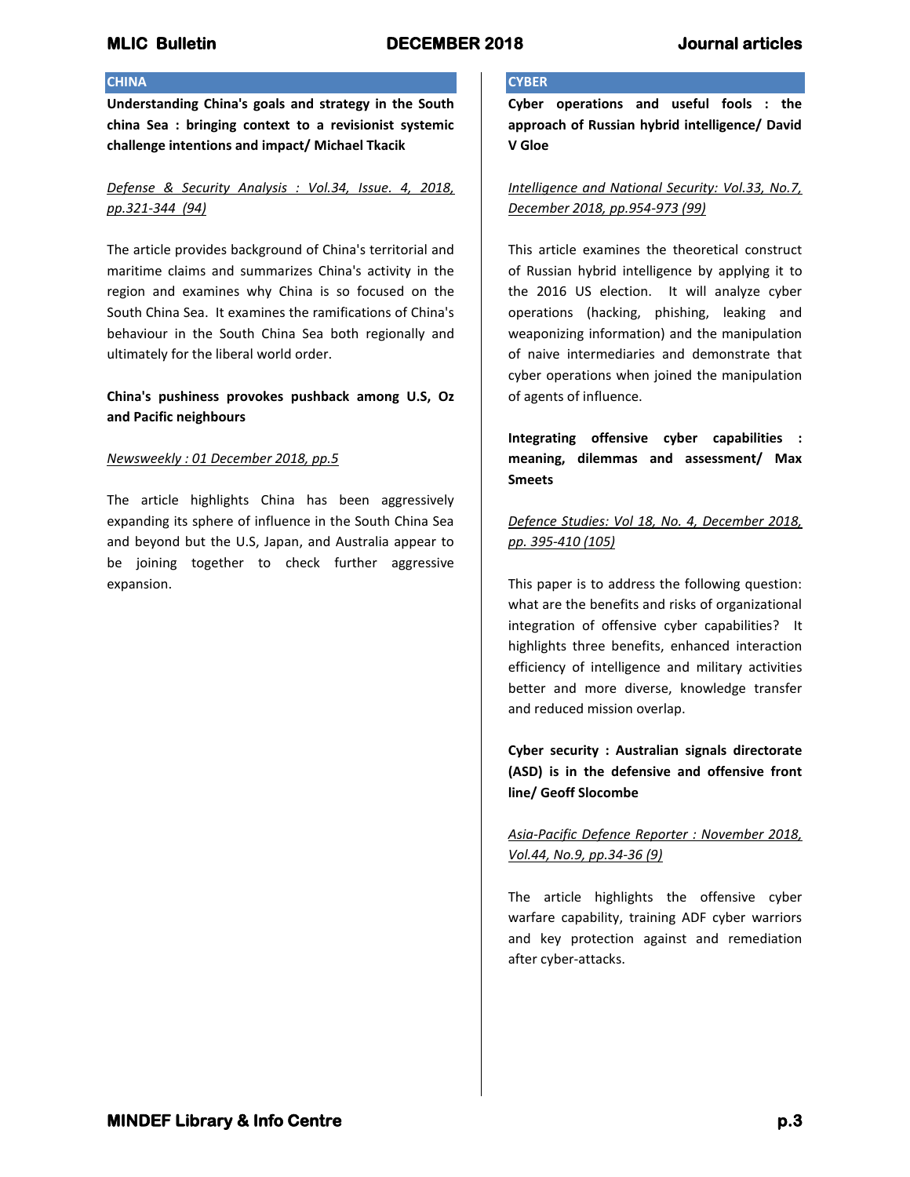## **CHINA**

**Understanding China's goals and strategy in the South china Sea : bringing context to a revisionist systemic challenge intentions and impact/ Michael Tkacik**

# *Defense & Security Analysis : Vol.34, Issue. 4, 2018, pp.321-344 (94)*

The article provides background of China's territorial and maritime claims and summarizes China's activity in the region and examines why China is so focused on the South China Sea. It examines the ramifications of China's behaviour in the South China Sea both regionally and ultimately for the liberal world order.

# **China's pushiness provokes pushback among U.S, Oz and Pacific neighbours**

### *Newsweekly : 01 December 2018, pp.5*

The article highlights China has been aggressively expanding its sphere of influence in the South China Sea and beyond but the U.S, Japan, and Australia appear to be joining together to check further aggressive expansion.

## **CYBER**

**Cyber operations and useful fools : the approach of Russian hybrid intelligence/ David V Gloe**

*Intelligence and National Security: Vol.33, No.7, December 2018, pp.954-973 (99)*

This article examines the theoretical construct of Russian hybrid intelligence by applying it to the 2016 US election. It will analyze cyber operations (hacking, phishing, leaking and weaponizing information) and the manipulation of naive intermediaries and demonstrate that cyber operations when joined the manipulation of agents of influence.

**Integrating offensive cyber capabilities : meaning, dilemmas and assessment/ Max Smeets**

# *Defence Studies: Vol 18, No. 4, December 2018, pp. 395-410 (105)*

This paper is to address the following question: what are the benefits and risks of organizational integration of offensive cyber capabilities? It highlights three benefits, enhanced interaction efficiency of intelligence and military activities better and more diverse, knowledge transfer and reduced mission overlap.

**Cyber security : Australian signals directorate (ASD) is in the defensive and offensive front line/ Geoff Slocombe**

*Asia-Pacific Defence Reporter : November 2018, Vol.44, No.9, pp.34-36 (9)*

The article highlights the offensive cyber warfare capability, training ADF cyber warriors and key protection against and remediation after cyber-attacks.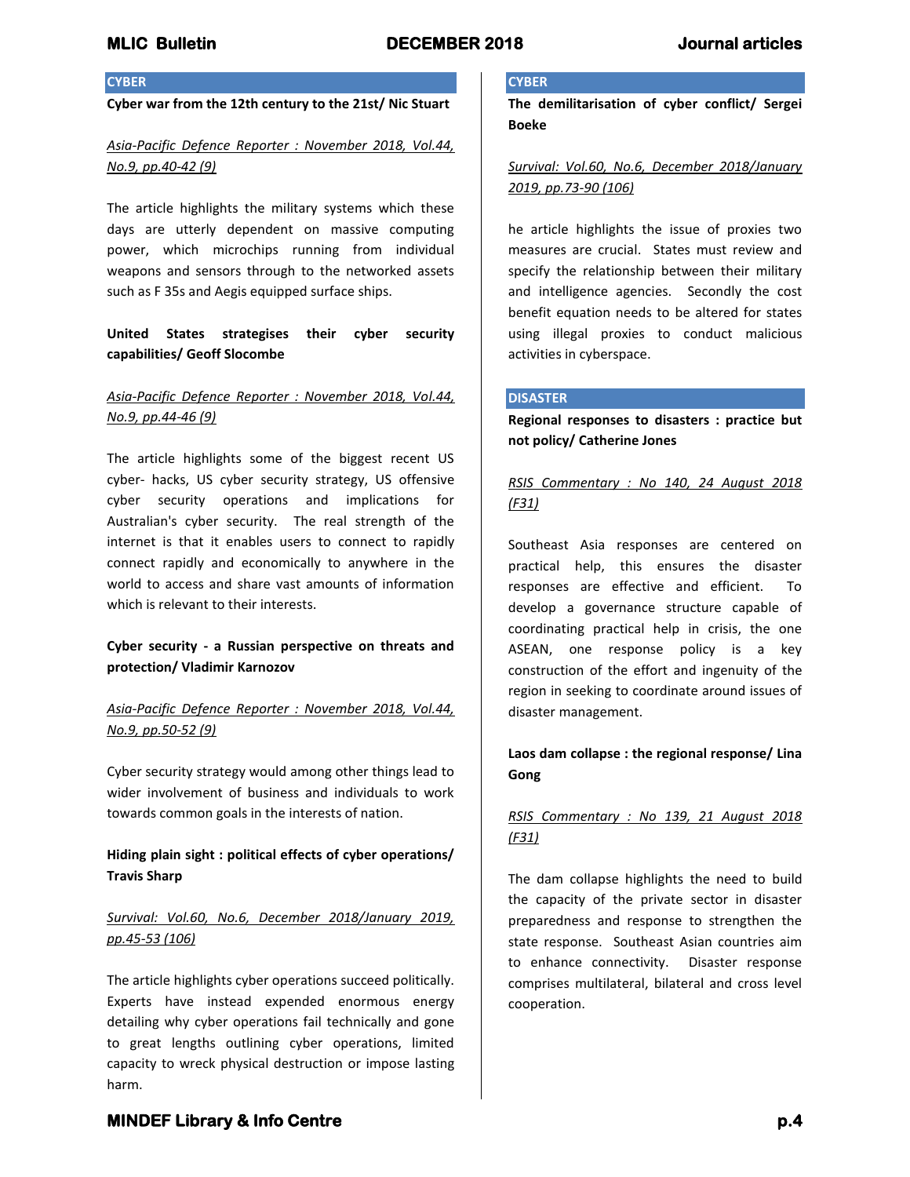### **CYBER**

### **Cyber war from the 12th century to the 21st/ Nic Stuart**

# *Asia-Pacific Defence Reporter : November 2018, Vol.44, No.9, pp.40-42 (9)*

The article highlights the military systems which these days are utterly dependent on massive computing power, which microchips running from individual weapons and sensors through to the networked assets such as F 35s and Aegis equipped surface ships.

## **United States strategises their cyber security capabilities/ Geoff Slocombe**

## *Asia-Pacific Defence Reporter : November 2018, Vol.44, No.9, pp.44-46 (9)*

The article highlights some of the biggest recent US cyber- hacks, US cyber security strategy, US offensive cyber security operations and implications for Australian's cyber security. The real strength of the internet is that it enables users to connect to rapidly connect rapidly and economically to anywhere in the world to access and share vast amounts of information which is relevant to their interests.

# **Cyber security - a Russian perspective on threats and protection/ Vladimir Karnozov**

# *Asia-Pacific Defence Reporter : November 2018, Vol.44, No.9, pp.50-52 (9)*

Cyber security strategy would among other things lead to wider involvement of business and individuals to work towards common goals in the interests of nation.

# **Hiding plain sight : political effects of cyber operations/ Travis Sharp**

# *Survival: Vol.60, No.6, December 2018/January 2019, pp.45-53 (106)*

The article highlights cyber operations succeed politically. Experts have instead expended enormous energy detailing why cyber operations fail technically and gone to great lengths outlining cyber operations, limited capacity to wreck physical destruction or impose lasting harm.

## **CYBER**

**The demilitarisation of cyber conflict/ Sergei Boeke**

# *Survival: Vol.60, No.6, December 2018/January 2019, pp.73-90 (106)*

he article highlights the issue of proxies two measures are crucial. States must review and specify the relationship between their military and intelligence agencies. Secondly the cost benefit equation needs to be altered for states using illegal proxies to conduct malicious activities in cyberspace.

#### **DISASTER**

**Regional responses to disasters : practice but not policy/ Catherine Jones**

# *RSIS Commentary : No 140, 24 August 2018 (F31)*

Southeast Asia responses are centered on practical help, this ensures the disaster responses are effective and efficient. To develop a governance structure capable of coordinating practical help in crisis, the one ASEAN, one response policy is a key construction of the effort and ingenuity of the region in seeking to coordinate around issues of disaster management.

# **Laos dam collapse : the regional response/ Lina Gong**

# *RSIS Commentary : No 139, 21 August 2018 (F31)*

The dam collapse highlights the need to build the capacity of the private sector in disaster preparedness and response to strengthen the state response. Southeast Asian countries aim to enhance connectivity. Disaster response comprises multilateral, bilateral and cross level cooperation.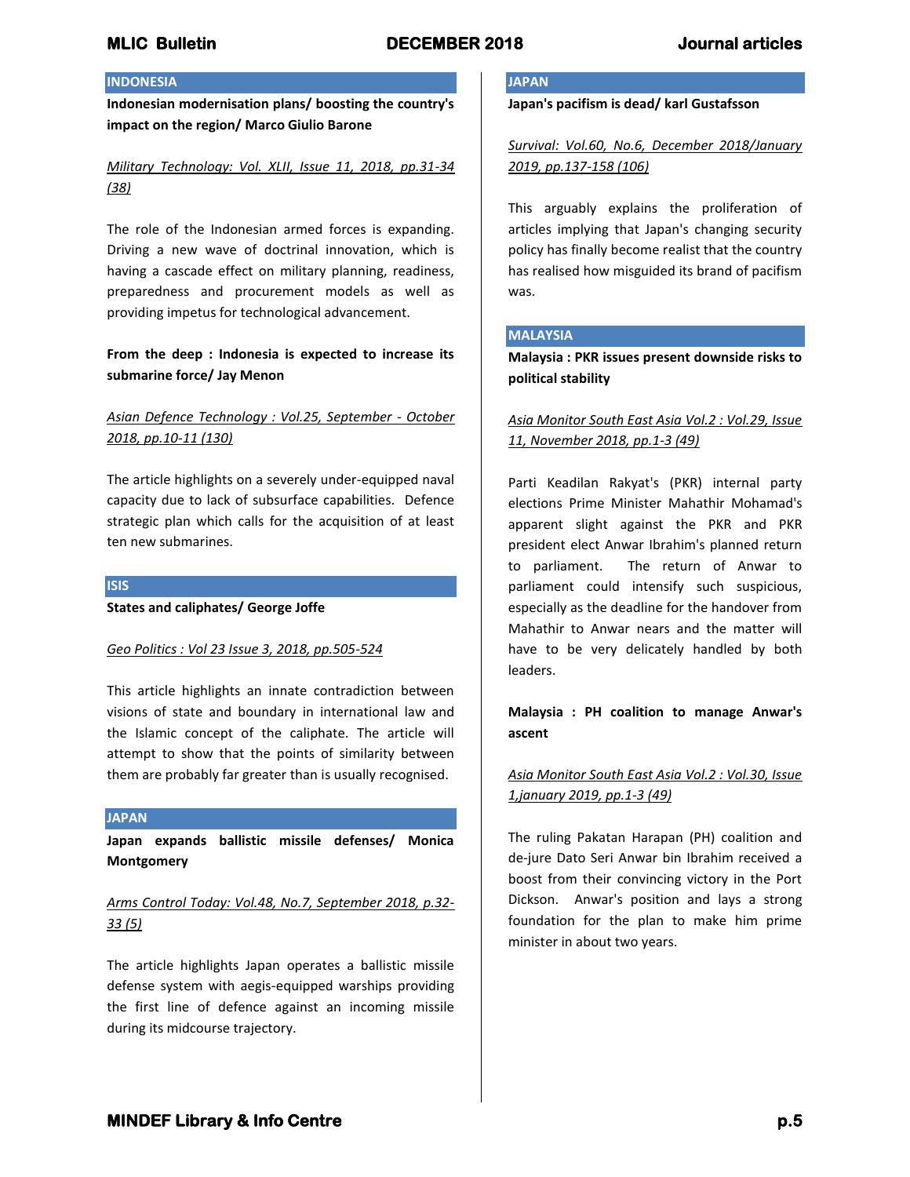## **INDONESIA**

**Indonesian modernisation plans/ boosting the country's impact on the region/ Marco Giulio Barone**

*Military Technology: Vol. XLII, Issue 11, 2018, pp.31-34 (38)*

The role of the Indonesian armed forces is expanding. Driving a new wave of doctrinal innovation, which is having a cascade effect on military planning, readiness, preparedness and procurement models as well as providing impetus for technological advancement.

## **From the deep : Indonesia is expected to increase its submarine force/ Jay Menon**

# *Asian Defence Technology : Vol.25, September - October 2018, pp.10-11 (130)*

The article highlights on a severely under-equipped naval capacity due to lack of subsurface capabilities. Defence strategic plan which calls for the acquisition of at least ten new submarines.

#### **ISIS**

**States and caliphates/ George Joffe**

#### *Geo Politics : Vol 23 Issue 3, 2018, pp.505-524*

This article highlights an innate contradiction between visions of state and boundary in international law and the Islamic concept of the caliphate. The article will attempt to show that the points of similarity between them are probably far greater than is usually recognised.

#### **JAPAN**

**Japan expands ballistic missile defenses/ Monica Montgomery**

# *Arms Control Today: Vol.48, No.7, September 2018, p.32- 33 (5)*

The article highlights Japan operates a ballistic missile defense system with aegis-equipped warships providing the first line of defence against an incoming missile during its midcourse trajectory.

# **JAPAN**

**Japan's pacifism is dead/ karl Gustafsson**

*Survival: Vol.60, No.6, December 2018/January 2019, pp.137-158 (106)*

This arguably explains the proliferation of articles implying that Japan's changing security policy has finally become realist that the country has realised how misguided its brand of pacifism was.

### **MALAYSIA**

**Malaysia : PKR issues present downside risks to political stability**

## *Asia Monitor South East Asia Vol.2 : Vol.29, Issue 11, November 2018, pp.1-3 (49)*

Parti Keadilan Rakyat's (PKR) internal party elections Prime Minister Mahathir Mohamad's apparent slight against the PKR and PKR president elect Anwar Ibrahim's planned return to parliament. The return of Anwar to parliament could intensify such suspicious, especially as the deadline for the handover from Mahathir to Anwar nears and the matter will have to be very delicately handled by both leaders.

**Malaysia : PH coalition to manage Anwar's ascent**

## *Asia Monitor South East Asia Vol.2 : Vol.30, Issue 1,january 2019, pp.1-3 (49)*

The ruling Pakatan Harapan (PH) coalition and de-jure Dato Seri Anwar bin Ibrahim received a boost from their convincing victory in the Port Dickson. Anwar's position and lays a strong foundation for the plan to make him prime minister in about two years.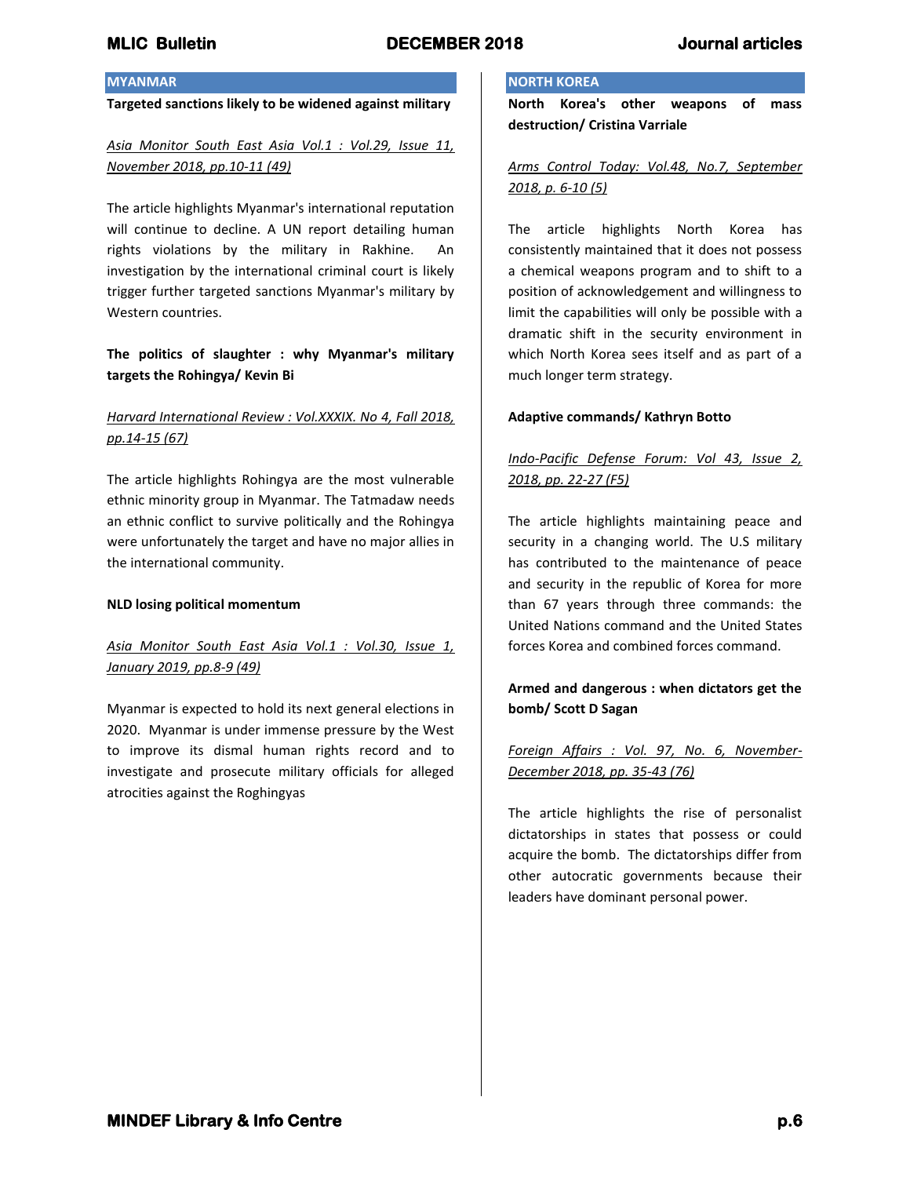## **MYANMAR**

#### **Targeted sanctions likely to be widened against military**

*Asia Monitor South East Asia Vol.1 : Vol.29, Issue 11, November 2018, pp.10-11 (49)*

The article highlights Myanmar's international reputation will continue to decline. A UN report detailing human rights violations by the military in Rakhine. An investigation by the international criminal court is likely trigger further targeted sanctions Myanmar's military by Western countries.

# **The politics of slaughter : why Myanmar's military targets the Rohingya/ Kevin Bi**

# *Harvard International Review : Vol.XXXIX. No 4, Fall 2018, pp.14-15 (67)*

The article highlights Rohingya are the most vulnerable ethnic minority group in Myanmar. The Tatmadaw needs an ethnic conflict to survive politically and the Rohingya were unfortunately the target and have no major allies in the international community.

## **NLD losing political momentum**

# *Asia Monitor South East Asia Vol.1 : Vol.30, Issue 1, January 2019, pp.8-9 (49)*

Myanmar is expected to hold its next general elections in 2020. Myanmar is under immense pressure by the West to improve its dismal human rights record and to investigate and prosecute military officials for alleged atrocities against the Roghingyas

## **NORTH KOREA**

**North Korea's other weapons of mass destruction/ Cristina Varriale**

# *Arms Control Today: Vol.48, No.7, September 2018, p. 6-10 (5)*

The article highlights North Korea has consistently maintained that it does not possess a chemical weapons program and to shift to a position of acknowledgement and willingness to limit the capabilities will only be possible with a dramatic shift in the security environment in which North Korea sees itself and as part of a much longer term strategy.

## **Adaptive commands/ Kathryn Botto**

# *Indo-Pacific Defense Forum: Vol 43, Issue 2, 2018, pp. 22-27 (F5)*

The article highlights maintaining peace and security in a changing world. The U.S military has contributed to the maintenance of peace and security in the republic of Korea for more than 67 years through three commands: the United Nations command and the United States forces Korea and combined forces command.

# **Armed and dangerous : when dictators get the bomb/ Scott D Sagan**

# *Foreign Affairs : Vol. 97, No. 6, November-December 2018, pp. 35-43 (76)*

The article highlights the rise of personalist dictatorships in states that possess or could acquire the bomb. The dictatorships differ from other autocratic governments because their leaders have dominant personal power.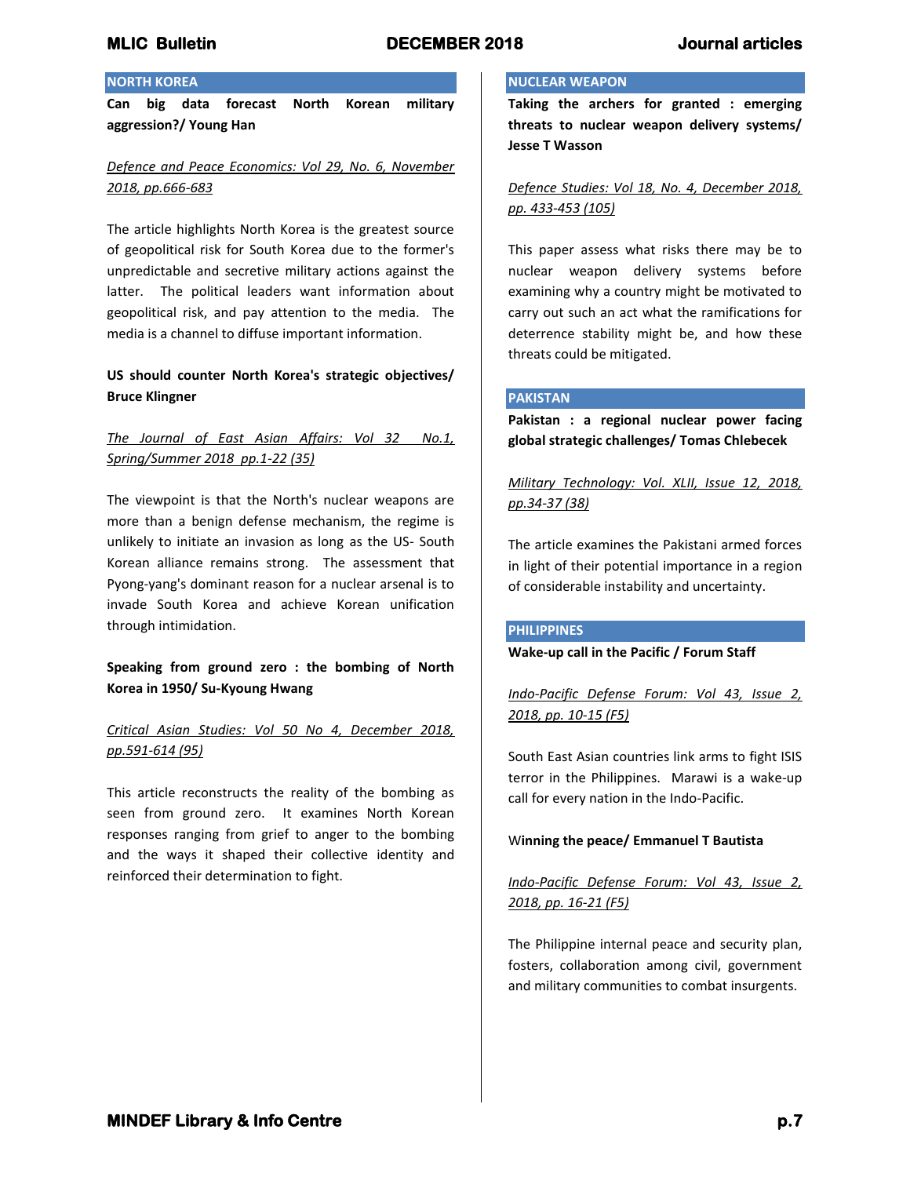## **NORTH KOREA**

**Can big data forecast North Korean military aggression?/ Young Han**

# *Defence and Peace Economics: Vol 29, No. 6, November 2018, pp.666-683*

The article highlights North Korea is the greatest source of geopolitical risk for South Korea due to the former's unpredictable and secretive military actions against the latter. The political leaders want information about geopolitical risk, and pay attention to the media. The media is a channel to diffuse important information.

# **US should counter North Korea's strategic objectives/ Bruce Klingner**

# *The Journal of East Asian Affairs: Vol 32 No.1, Spring/Summer 2018 pp.1-22 (35)*

The viewpoint is that the North's nuclear weapons are more than a benign defense mechanism, the regime is unlikely to initiate an invasion as long as the US- South Korean alliance remains strong. The assessment that Pyong-yang's dominant reason for a nuclear arsenal is to invade South Korea and achieve Korean unification through intimidation.

**Speaking from ground zero : the bombing of North Korea in 1950/ Su-Kyoung Hwang**

# *Critical Asian Studies: Vol 50 No 4, December 2018, pp.591-614 (95)*

This article reconstructs the reality of the bombing as seen from ground zero. It examines North Korean responses ranging from grief to anger to the bombing and the ways it shaped their collective identity and reinforced their determination to fight.

## **NUCLEAR WEAPON**

**Taking the archers for granted : emerging threats to nuclear weapon delivery systems/ Jesse T Wasson**

## *Defence Studies: Vol 18, No. 4, December 2018, pp. 433-453 (105)*

This paper assess what risks there may be to nuclear weapon delivery systems before examining why a country might be motivated to carry out such an act what the ramifications for deterrence stability might be, and how these threats could be mitigated.

### **PAKISTAN**

**Pakistan : a regional nuclear power facing global strategic challenges/ Tomas Chlebecek**

*Military Technology: Vol. XLII, Issue 12, 2018, pp.34-37 (38)*

The article examines the Pakistani armed forces in light of their potential importance in a region of considerable instability and uncertainty.

### **PHILIPPINES**

#### **Wake-up call in the Pacific / Forum Staff**

*Indo-Pacific Defense Forum: Vol 43, Issue 2, 2018, pp. 10-15 (F5)*

South East Asian countries link arms to fight ISIS terror in the Philippines. Marawi is a wake-up call for every nation in the Indo-Pacific.

## W**inning the peace/ Emmanuel T Bautista**

*Indo-Pacific Defense Forum: Vol 43, Issue 2, 2018, pp. 16-21 (F5)*

The Philippine internal peace and security plan, fosters, collaboration among civil, government and military communities to combat insurgents.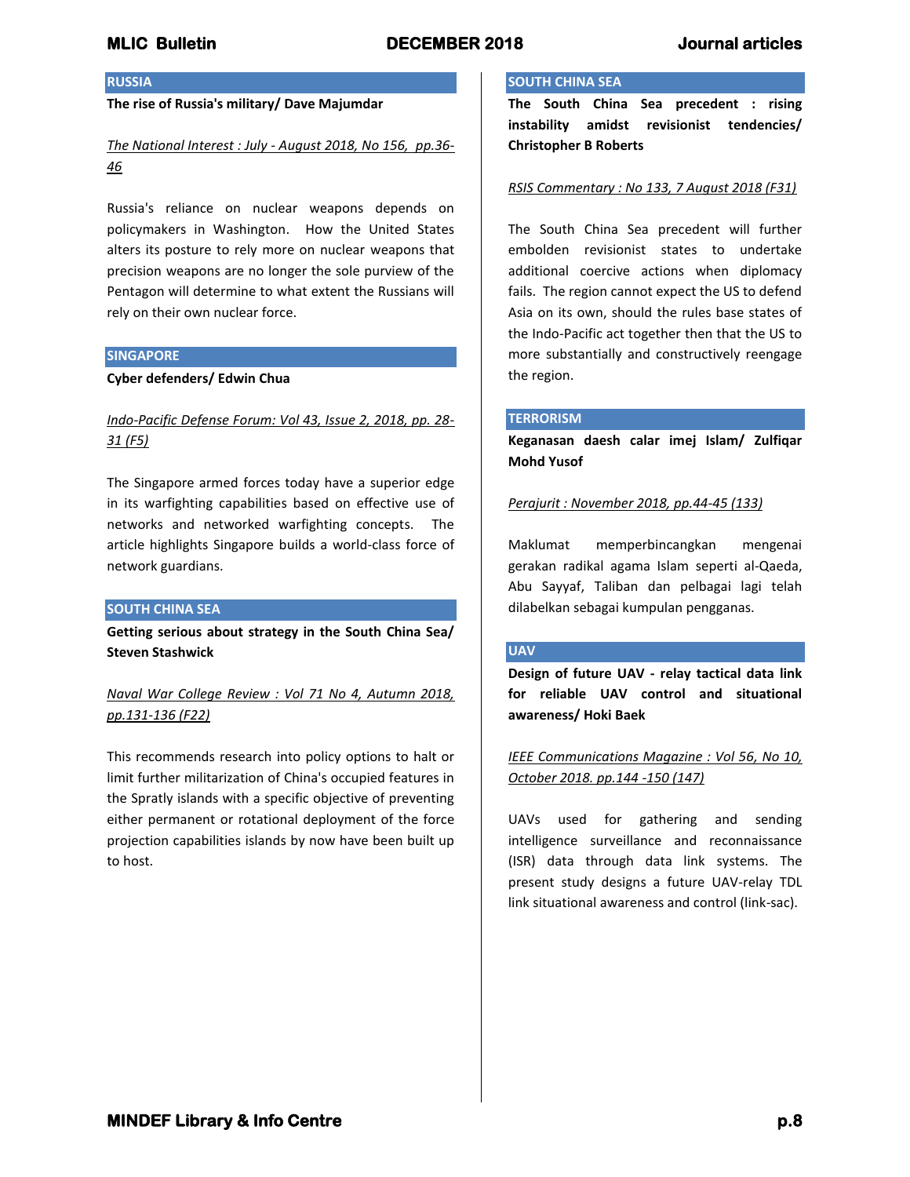## **RUSSIA**

## **The rise of Russia's military/ Dave Majumdar**

# *The National Interest : July - August 2018, No 156, pp.36- 46*

Russia's reliance on nuclear weapons depends on policymakers in Washington. How the United States alters its posture to rely more on nuclear weapons that precision weapons are no longer the sole purview of the Pentagon will determine to what extent the Russians will rely on their own nuclear force.

#### **SINGAPORE**

### **Cyber defenders/ Edwin Chua**

# *Indo-Pacific Defense Forum: Vol 43, Issue 2, 2018, pp. 28- 31 (F5)*

The Singapore armed forces today have a superior edge in its warfighting capabilities based on effective use of networks and networked warfighting concepts. The article highlights Singapore builds a world-class force of network guardians.

## **SOUTH CHINA SEA**

**Getting serious about strategy in the South China Sea/ Steven Stashwick**

*Naval War College Review : Vol 71 No 4, Autumn 2018, pp.131-136 (F22)*

This recommends research into policy options to halt or limit further militarization of China's occupied features in the Spratly islands with a specific objective of preventing either permanent or rotational deployment of the force projection capabilities islands by now have been built up to host.

## **SOUTH CHINA SEA**

**The South China Sea precedent : rising instability amidst revisionist tendencies/ Christopher B Roberts**

### *RSIS Commentary : No 133, 7 August 2018 (F31)*

The South China Sea precedent will further embolden revisionist states to undertake additional coercive actions when diplomacy fails. The region cannot expect the US to defend Asia on its own, should the rules base states of the Indo-Pacific act together then that the US to more substantially and constructively reengage the region.

#### **TERRORISM**

**Keganasan daesh calar imej Islam/ Zulfiqar Mohd Yusof**

### *Perajurit : November 2018, pp.44-45 (133)*

Maklumat memperbincangkan mengenai gerakan radikal agama Islam seperti al-Qaeda, Abu Sayyaf, Taliban dan pelbagai lagi telah dilabelkan sebagai kumpulan pengganas.

## **UAV**

**Design of future UAV - relay tactical data link for reliable UAV control and situational awareness/ Hoki Baek**

*IEEE Communications Magazine : Vol 56, No 10, October 2018. pp.144 -150 (147)*

UAVs used for gathering and sending intelligence surveillance and reconnaissance (ISR) data through data link systems. The present study designs a future UAV-relay TDL link situational awareness and control (link-sac).